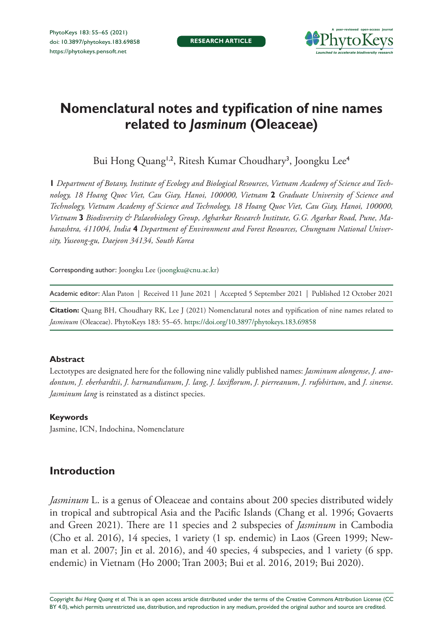**RESEARCH ARTICLE**



# **Nomenclatural notes and typification of nine names related to** *Jasminum* **(Oleaceae)**

Bui Hong Quang<sup>1,2</sup>, Ritesh Kumar Choudhary<sup>3</sup>, Joongku Lee<sup>4</sup>

**1** *Department of Botany, Institute of Ecology and Biological Resources, Vietnam Academy of Science and Technology, 18 Hoang Quoc Viet, Cau Giay, Hanoi, 100000, Vietnam* **2** *Graduate University of Science and Technology, Vietnam Academy of Science and Technology, 18 Hoang Quoc Viet, Cau Giay, Hanoi, 100000, Vietnam* **3** *Biodiversity & Palaeobiology Group, Agharkar Research Institute, G.G. Agarkar Road, Pune, Maharashtra, 411004, India* **4** *Department of Environment and Forest Resources, Chungnam National University, Yuseong-gu, Daejeon 34134, South Korea*

Corresponding author: Joongku Lee ([joongku@cnu.ac.kr\)](mailto:joongku@cnu.ac.kr)

Academic editor: Alan Paton | Received 11 June 2021 | Accepted 5 September 2021 | Published 12 October 2021

**Citation:** Quang BH, Choudhary RK, Lee J (2021) Nomenclatural notes and typification of nine names related to *Jasminum* (Oleaceae). PhytoKeys 183: 55–65. <https://doi.org/10.3897/phytokeys.183.69858>

#### **Abstract**

Lectotypes are designated here for the following nine validly published names: *Jasminum alongense*, *J. anodontum*, *J. eberhardtii*, *J. harmandianum*, *J. lang*, *J. laxiflorum*, *J. pierreanum*, *J. rufohirtum*, and *J. sinense*. *Jasminum lang* is reinstated as a distinct species.

#### **Keywords**

Jasmine, ICN, Indochina, Nomenclature

## **Introduction**

*Jasminum* L. is a genus of Oleaceae and contains about 200 species distributed widely in tropical and subtropical Asia and the Pacific Islands (Chang et al. 1996; Govaerts and Green 2021). There are 11 species and 2 subspecies of *Jasminum* in Cambodia (Cho et al. 2016), 14 species, 1 variety (1 sp. endemic) in Laos (Green 1999; Newman et al. 2007; Jin et al. 2016), and 40 species, 4 subspecies, and 1 variety (6 spp. endemic) in Vietnam (Ho 2000; Tran 2003; Bui et al. 2016, 2019; Bui 2020).

Copyright *Bui Hong Quang et al.* This is an open access article distributed under the terms of the [Creative Commons Attribution License \(CC](http://creativecommons.org/licenses/by/4.0/)  [BY 4.0\)](http://creativecommons.org/licenses/by/4.0/), which permits unrestricted use, distribution, and reproduction in any medium, provided the original author and source are credited.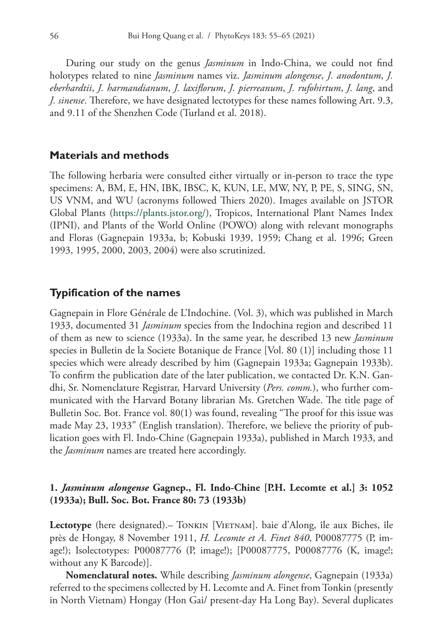During our study on the genus *Jasminum* in Indo-China, we could not find holotypes related to nine *Jasminum* names viz. *Jasminum alongense*, *J. anodontum*, *J. eberhardtii*, *J. harmandianum*, *J. laxiflorum*, *J. pierreanum*, *J. rufohirtum*, *J. lang*, and *J. sinense*. Therefore, we have designated lectotypes for these names following Art. 9.3, and 9.11 of the Shenzhen Code (Turland et al. 2018).

#### **Materials and methods**

The following herbaria were consulted either virtually or in-person to trace the type specimens: A, BM, E, HN, IBK, IBSC, K, KUN, LE, MW, NY, P, PE, S, SING, SN, US VNM, and WU (acronyms followed Thiers 2020). Images available on JSTOR Global Plants [\(https://plants.jstor.org/](https://plants.jstor.org/)), Tropicos, International Plant Names Index (IPNI), and Plants of the World Online (POWO) along with relevant monographs and Floras (Gagnepain 1933a, b; Kobuski 1939, 1959; Chang et al. 1996; Green 1993, 1995, 2000, 2003, 2004) were also scrutinized.

#### **Typification of the names**

Gagnepain in Flore Générale de L'Indochine. (Vol. 3), which was published in March 1933, documented 31 *Jasminum* species from the Indochina region and described 11 of them as new to science (1933a). In the same year, he described 13 new *Jasminum* species in Bulletin de la Societe Botanique de France [Vol. 80 (1)] including those 11 species which were already described by him (Gagnepain 1933a; Gagnepain 1933b). To confirm the publication date of the later publication, we contacted Dr. K.N. Gandhi, Sr. Nomenclature Registrar, Harvard University (*Pers. comm.*), who further communicated with the Harvard Botany librarian Ms. Gretchen Wade. The title page of Bulletin Soc. Bot. France vol. 80(1) was found, revealing "The proof for this issue was made May 23, 1933" (English translation). Therefore, we believe the priority of publication goes with Fl. Indo-Chine (Gagnepain 1933a), published in March 1933, and the *Jasminum* names are treated here accordingly.

## **1.** *Jasminum alongense* **Gagnep., Fl. Indo-Chine [P.H. Lecomte et al.] 3: 1052 (1933a); Bull. Soc. Bot. France 80: 73 (1933b)**

Lectotype (here designated).– Tonkin [Vietnam]. baie d'Along, île aux Biches, île près de Hongay, 8 November 1911, *H. Lecomte et A. Finet 840*, P00087775 (P, image!); Isolectotypes: P00087776 (P, image!); [P00087775, P00087776 (K, image!; without any K Barcode)].

**Nomenclatural notes.** While describing *Jasminum alongense*, Gagnepain (1933a) referred to the specimens collected by H. Lecomte and A. Finet from Tonkin (presently in North Vietnam) Hongay (Hon Gai/ present-day Ha Long Bay). Several duplicates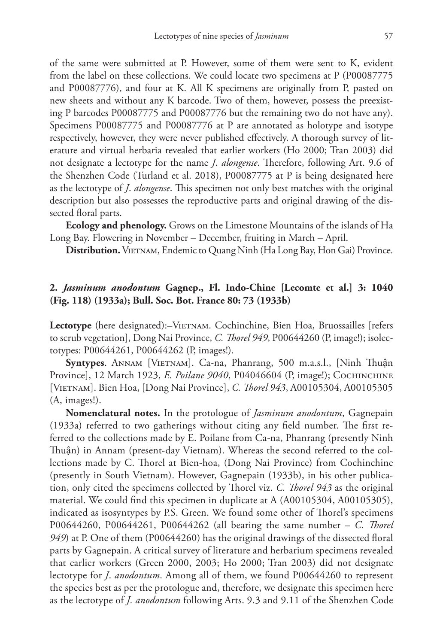of the same were submitted at P. However, some of them were sent to K, evident from the label on these collections. We could locate two specimens at P (P00087775 and P00087776), and four at K. All K specimens are originally from P, pasted on new sheets and without any K barcode. Two of them, however, possess the preexisting P barcodes P00087775 and P00087776 but the remaining two do not have any). Specimens P00087775 and P00087776 at P are annotated as holotype and isotype respectively, however, they were never published effectively. A thorough survey of literature and virtual herbaria revealed that earlier workers (Ho 2000; Tran 2003) did not designate a lectotype for the name *J*. *alongense*. Therefore, following Art. 9.6 of the Shenzhen Code (Turland et al. 2018), P00087775 at P is being designated here as the lectotype of *J*. *alongense*. This specimen not only best matches with the original description but also possesses the reproductive parts and original drawing of the dissected floral parts.

**Ecology and phenology.** Grows on the Limestone Mountains of the islands of Ha Long Bay. Flowering in November – December, fruiting in March – April.

Distribution. VIETNAM, Endemic to Quang Ninh (Ha Long Bay, Hon Gai) Province.

## **2.** *Jasminum anodontum* **Gagnep., Fl. Indo-Chine [Lecomte et al.] 3: 1040 (Fig. 118) (1933a); Bull. Soc. Bot. France 80: 73 (1933b)**

Lectotype (here designated):–VIETNAM. Cochinchine, Bien Hoa, Bruossailles [refers to scrub vegetation], Dong Nai Province, *C. Thorel 949*, P00644260 (P, image!); isolectotypes: P00644261, P00644262 (P, images!).

Syntypes. ANNAM [VIETNAM]. Ca-na, Phanrang, 500 m.a.s.l., [Ninh Thuận Province], 12 March 1923, *E. Poilane 9040*, P04046604 (P, image!); Cochinchine [Vietnam]. Bien Hoa, [Dong Nai Province], *C. Thorel 943*, A00105304, A00105305 (A, images!).

**Nomenclatural notes.** In the protologue of *Jasminum anodontum*, Gagnepain (1933a) referred to two gatherings without citing any field number. The first referred to the collections made by E. Poilane from Ca-na, Phanrang (presently Ninh Thuận) in Annam (present-day Vietnam). Whereas the second referred to the collections made by C. Thorel at Bien-hoa, (Dong Nai Province) from Cochinchine (presently in South Vietnam). However, Gagnepain (1933b), in his other publication, only cited the specimens collected by Thorel viz. *C. Thorel 943* as the original material. We could find this specimen in duplicate at A (A00105304, A00105305), indicated as isosyntypes by P.S. Green. We found some other of Thorel's specimens P00644260, P00644261, P00644262 (all bearing the same number – *C. Thorel 949*) at P. One of them (P00644260) has the original drawings of the dissected floral parts by Gagnepain. A critical survey of literature and herbarium specimens revealed that earlier workers (Green 2000, 2003; Ho 2000; Tran 2003) did not designate lectotype for *J*. *anodontum*. Among all of them, we found P00644260 to represent the species best as per the protologue and, therefore, we designate this specimen here as the lectotype of *J. anodontum* following Arts. 9.3 and 9.11 of the Shenzhen Code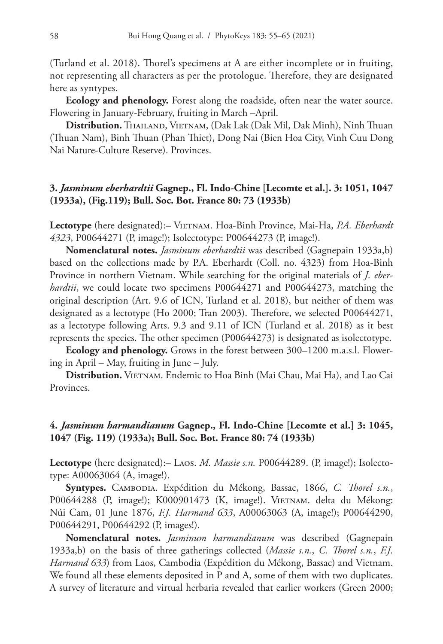(Turland et al. 2018). Thorel's specimens at A are either incomplete or in fruiting, not representing all characters as per the protologue. Therefore, they are designated here as syntypes.

**Ecology and phenology.** Forest along the roadside, often near the water source. Flowering in January-February, fruiting in March –April.

Distribution. THAILAND, VIETNAM, (Dak Lak (Dak Mil, Dak Minh), Ninh Thuan (Thuan Nam), Binh Thuan (Phan Thiet), Dong Nai (Bien Hoa City, Vinh Cuu Dong Nai Nature-Culture Reserve). Provinces.

## **3.** *Jasminum eberhardtii* **Gagnep., Fl. Indo-Chine [Lecomte et al.]. 3: 1051, 1047 (1933a), (Fig.119); Bull. Soc. Bot. France 80: 73 (1933b)**

Lectotype (here designated):- VIETNAM. Hoa-Binh Province, Mai-Ha, *P.A. Eberhardt 4323*, P00644271 (P, image!); Isolectotype: P00644273 (P, image!).

**Nomenclatural notes.** *Jasminum eberhardtii* was described (Gagnepain 1933a,b) based on the collections made by P.A. Eberhardt (Coll. no. 4323) from Hoa-Binh Province in northern Vietnam. While searching for the original materials of *J. eberhardtii*, we could locate two specimens P00644271 and P00644273, matching the original description (Art. 9.6 of ICN, Turland et al. 2018), but neither of them was designated as a lectotype (Ho 2000; Tran 2003). Therefore, we selected P00644271, as a lectotype following Arts. 9.3 and 9.11 of ICN (Turland et al. 2018) as it best represents the species. The other specimen (P00644273) is designated as isolectotype.

**Ecology and phenology.** Grows in the forest between 300–1200 m.a.s.l. Flowering in April – May, fruiting in June – July.

Distribution. VIETNAM. Endemic to Hoa Binh (Mai Chau, Mai Ha), and Lao Cai Provinces.

## **4.** *Jasminum harmandianum* **Gagnep., Fl. Indo-Chine [Lecomte et al.] 3: 1045, 1047 (Fig. 119) (1933a); Bull. Soc. Bot. France 80: 74 (1933b)**

**Lectotype** (here designated):– Laos. *M. Massie s.n.* P00644289. (P, image!); Isolectotype: A00063064 (A, image!).

**Syntypes.** Cambodia. Expédition du Mékong, Bassac, 1866, *C. Thorel s.n.*, P00644288 (P, image!); K000901473 (K, image!). VIETNAM. delta du Mékong: Núi Cam, 01 June 1876, *F.J. Harmand 633*, A00063063 (A, image!); P00644290, P00644291, P00644292 (P, images!).

**Nomenclatural notes.** *Jasminum harmandianum* was described (Gagnepain 1933a,b) on the basis of three gatherings collected (*Massie s.n.*, *C. Thorel s.n.*, *F.J. Harmand 633*) from Laos, Cambodia (Expédition du Mékong, Bassac) and Vietnam. We found all these elements deposited in P and A, some of them with two duplicates. A survey of literature and virtual herbaria revealed that earlier workers (Green 2000;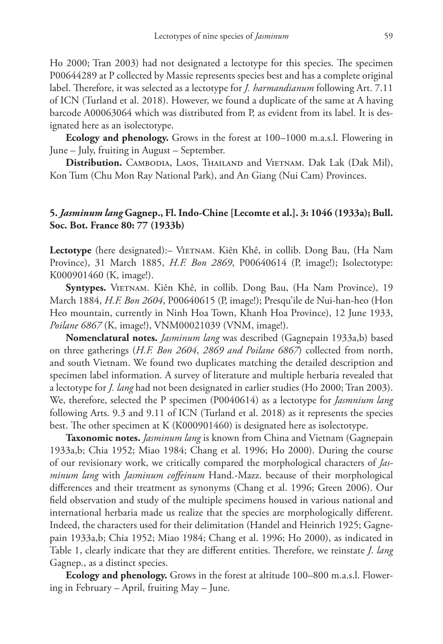Ho 2000; Tran 2003) had not designated a lectotype for this species. The specimen P00644289 at P collected by Massie represents species best and has a complete original label. Therefore, it was selected as a lectotype for *J. harmandianum* following Art. 7.11 of ICN (Turland et al. 2018). However, we found a duplicate of the same at A having barcode A00063064 which was distributed from P, as evident from its label. It is designated here as an isolectotype.

**Ecology and phenology.** Grows in the forest at 100–1000 m.a.s.l. Flowering in June – July, fruiting in August – September.

Distribution. CAMBODIA, LAOS, THAILAND and VIETNAM. Dak Lak (Dak Mil), Kon Tum (Chu Mon Ray National Park), and An Giang (Nui Cam) Provinces.

#### **5.** *Jasminum lang* **Gagnep., Fl. Indo-Chine [Lecomte et al.]. 3: 1046 (1933a); Bull. Soc. Bot. France 80: 77 (1933b)**

**Lectotype** (here designated):– Vietnam. Kiên Khê, in collib. Dong Bau, (Ha Nam Province), 31 March 1885, *H.F. Bon 2869*, P00640614 (P, image!); Isolectotype: K000901460 (K, image!).

**Syntypes.** VIETNAM. Kiên Khê, in collib. Dong Bau, (Ha Nam Province), 19 March 1884, *H.F. Bon 2604*, P00640615 (P, image!); Presqu'ile de Nui-han-heo (Hon Heo mountain, currently in Ninh Hoa Town, Khanh Hoa Province), 12 June 1933, *Poilane 6867* (K, image!), VNM00021039 (VNM, image!).

**Nomenclatural notes.** *Jasminum lang* was described (Gagnepain 1933a,b) based on three gatherings (*H.F. Bon 2604*, *2869 and Poilane 6867*) collected from north, and south Vietnam. We found two duplicates matching the detailed description and specimen label information. A survey of literature and multiple herbaria revealed that a lectotype for *J. lang* had not been designated in earlier studies (Ho 2000; Tran 2003). We, therefore, selected the P specimen (P0040614) as a lectotype for *Jasmnium lang* following Arts. 9.3 and 9.11 of ICN (Turland et al. 2018) as it represents the species best. The other specimen at K (K000901460) is designated here as isolectotype.

**Taxonomic notes.** *Jasminum lang* is known from China and Vietnam (Gagnepain 1933a,b; Chia 1952; Miao 1984; Chang et al. 1996; Ho 2000). During the course of our revisionary work, we critically compared the morphological characters of *Jasminum lang* with *Jasminum coffeinum* Hand.-Mazz. because of their morphological differences and their treatment as synonyms (Chang et al. 1996; Green 2006). Our field observation and study of the multiple specimens housed in various national and international herbaria made us realize that the species are morphologically different. Indeed, the characters used for their delimitation (Handel and Heinrich 1925; Gagnepain 1933a,b; Chia 1952; Miao 1984; Chang et al. 1996; Ho 2000), as indicated in Table 1, clearly indicate that they are different entities. Therefore, we reinstate *J. lang* Gagnep., as a distinct species.

**Ecology and phenology.** Grows in the forest at altitude 100–800 m.a.s.l. Flowering in February – April, fruiting May – June.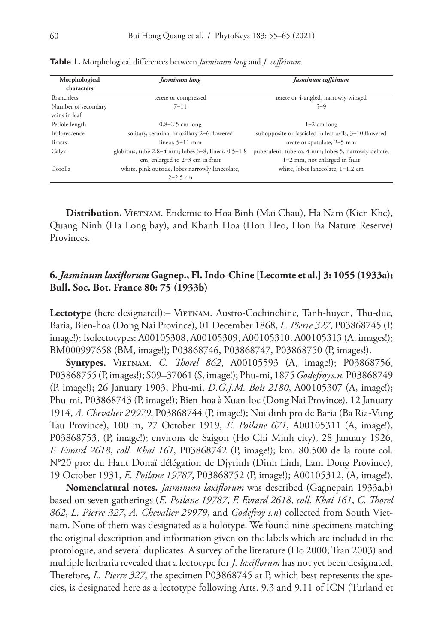| Morphological       | Jasminum lang                                       | Jasminum coffeinum                                    |
|---------------------|-----------------------------------------------------|-------------------------------------------------------|
| characters          |                                                     |                                                       |
| <b>Branchlets</b>   | terete or compressed                                | terete or 4-angled, narrowly winged                   |
| Number of secondary | $7 - 11$                                            | $5 - 9$                                               |
| veins in leaf       |                                                     |                                                       |
| Petiole length      | $0.8-2.5$ cm long                                   | $1-2$ cm long                                         |
| Inflorescence       | solitary, terminal or axillary 2-6 flowered         | subopposite or fascicled in leaf axils, 3-10 flowered |
| <b>Bracts</b>       | $linear. 5-11 mm$                                   | ovate or spatulate, 2-5 mm                            |
| Calyx               | glabrous, tube 2.8-4 mm; lobes 6-8, linear, 0.5-1.8 | puberulent, tube ca. 4 mm; lobes 5, narrowly deltate, |
|                     | cm, enlarged to $2-3$ cm in fruit                   | $1-2$ mm, not enlarged in fruit                       |
| Corolla             | white, pink outside, lobes narrowly lanceolate,     | white, lobes lanceolate, $1-1.2$ cm                   |
|                     | $2 - 2.5$ cm                                        |                                                       |

**Table 1.** Morphological differences between *Jasminum lang* and *J. coffeinum.*

Distribution. VIETNAM. Endemic to Hoa Binh (Mai Chau), Ha Nam (Kien Khe), Quang Ninh (Ha Long bay), and Khanh Hoa (Hon Heo, Hon Ba Nature Reserve) Provinces.

#### **6.** *Jasminum laxiflorum* **Gagnep., Fl. Indo-Chine [Lecomte et al.] 3: 1055 (1933a); Bull. Soc. Bot. France 80: 75 (1933b)**

Lectotype (here designated): VIETNAM. Austro-Cochinchine, Tanh-huyen, Thu-duc, Baria, Bien-hoa (Dong Nai Province), 01 December 1868, *L. Pierre 327*, P03868745 (P, image!); Isolectotypes: A00105308, A00105309, A00105310, A00105313 (A, images!); BM000997658 (BM, image!); P03868746, P03868747, P03868750 (P, images!).

**Syntypes.** VIETNAM. *C. Thorel 862*, A00105593 (A, image!); P03868756, P03868755 (P, images!); S09–37061 (S, image!); Phu-mi, 1875 *Godefroy s.n.* P03868749 (P, image!); 26 January 1903, Phu-mi, *D.G.J.M. Bois 2180*, A00105307 (A, image!); Phu-mi, P03868743 (P, image!); Bien-hoa à Xuan-loc (Dong Nai Province), 12 January 1914, *A. Chevalier 29979*, P03868744 (P, image!); Nui dinh pro de Baria (Ba Ria-Vung Tau Province), 100 m, 27 October 1919, *E. Poilane 671*, A00105311 (A, image!), P03868753, (P, image!); environs de Saigon (Ho Chi Minh city), 28 January 1926, *F. Evrard 2618*, *coll. Khai 161*, P03868742 (P, image!); km. 80.500 de la route col. N°20 pro: du Haut Donaï délégation de Djyrinh (Dinh Linh, Lam Dong Province), 19 October 1931, *E. Poilane 19787*, P03868752 (P, image!); A00105312, (A, image!).

**Nomenclatural notes.** *Jasminum laxiflorum* was described (Gagnepain 1933a,b) based on seven gatherings (*E. Poilane 19787*, *F. Evrard 2618*, *coll. Khai 161*, *C. Thorel 862*, *L. Pierre 327*, *A. Chevalier 29979*, and *Godefroy s.n*) collected from South Vietnam. None of them was designated as a holotype. We found nine specimens matching the original description and information given on the labels which are included in the protologue, and several duplicates. A survey of the literature (Ho 2000; Tran 2003) and multiple herbaria revealed that a lectotype for *J. laxiflorum* has not yet been designated. Therefore, *L. Pierre 327*, the specimen P03868745 at P, which best represents the species, is designated here as a lectotype following Arts. 9.3 and 9.11 of ICN (Turland et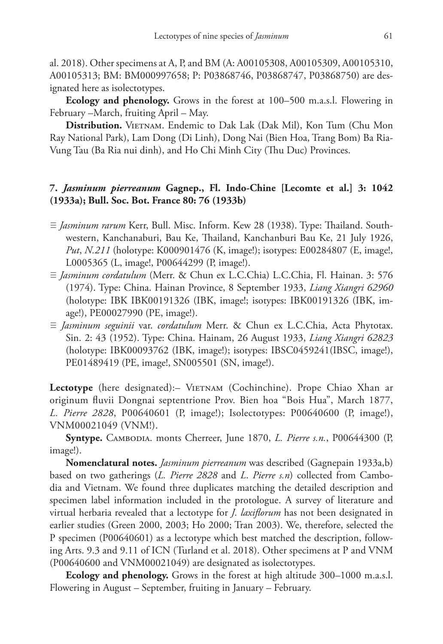al. 2018). Other specimens at A, P, and BM (A: A00105308, A00105309, A00105310, A00105313; BM: BM000997658; P: P03868746, P03868747, P03868750) are designated here as isolectotypes.

**Ecology and phenology.** Grows in the forest at 100–500 m.a.s.l. Flowering in February –March, fruiting April – May.

Distribution. VIETNAM. Endemic to Dak Lak (Dak Mil), Kon Tum (Chu Mon Ray National Park), Lam Dong (Di Linh), Dong Nai (Bien Hoa, Trang Bom) Ba Ria-Vung Tau (Ba Ria nui dinh), and Ho Chi Minh City (Thu Duc) Provinces.

## **7.** *Jasminum pierreanum* **Gagnep., Fl. Indo-Chine [Lecomte et al.] 3: 1042 (1933a); Bull. Soc. Bot. France 80: 76 (1933b)**

- ≡ *Jasminum rarum* Kerr, Bull. Misc. Inform. Kew 28 (1938). Type: Thailand. Southwestern, Kanchanaburi, Bau Ke, Thailand, Kanchanburi Bau Ke, 21 July 1926, *Put*, *N.211* (holotype: K000901476 (K, image!); isotypes: E00284807 (E, image!, L0005365 (L, image!, P00644299 (P, image!).
- ≡ *Jasminum cordatulum* (Merr. & Chun ex L.C.Chia) L.C.Chia, Fl. Hainan. 3: 576 (1974). Type: China. Hainan Province, 8 September 1933, *Liang Xiangri 62960* (holotype: IBK IBK00191326 (IBK, image!; isotypes: IBK00191326 (IBK, image!), PE00027990 (PE, image!).
- ≡ *Jasminum seguinii* var. *cordatulum* Merr. & Chun ex L.C.Chia, Acta Phytotax. Sin. 2: 43 (1952). Type: China. Hainam, 26 August 1933, *Liang Xiangri 62823* (holotype: IBK00093762 (IBK, image!); isotypes: IBSC0459241(IBSC, image!), PE01489419 (PE, image!, SN005501 (SN, image!).

Lectotype (here designated):- VIETNAM (Cochinchine). Prope Chiao Xhan ar originum fluvii Dongnai septentrione Prov. Bien hoa "Bois Hua", March 1877, *L. Pierre 2828*, P00640601 (P, image!); Isolectotypes: P00640600 (P, image!), VNM00021049 (VNM!).

**Syntype.** Cambodia. monts Cherreer, June 1870, *L. Pierre s.n.*, P00644300 (P, image!).

**Nomenclatural notes.** *Jasminum pierreanum* was described (Gagnepain 1933a,b) based on two gatherings (*L. Pierre 2828* and *L*. *Pierre s.n*) collected from Cambodia and Vietnam. We found three duplicates matching the detailed description and specimen label information included in the protologue. A survey of literature and virtual herbaria revealed that a lectotype for *J. laxiflorum* has not been designated in earlier studies (Green 2000, 2003; Ho 2000; Tran 2003). We, therefore, selected the P specimen (P00640601) as a lectotype which best matched the description, following Arts. 9.3 and 9.11 of ICN (Turland et al. 2018). Other specimens at P and VNM (P00640600 and VNM00021049) are designated as isolectotypes.

**Ecology and phenology.** Grows in the forest at high altitude 300–1000 m.a.s.l. Flowering in August – September, fruiting in January – February.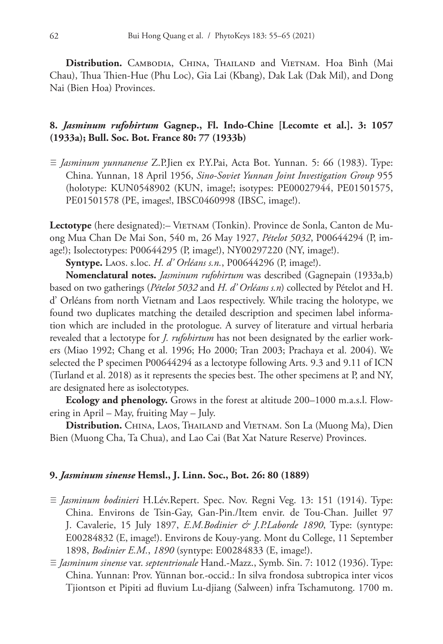Distribution. CAMBODIA, CHINA, THAILAND and VIETNAM. Hoa Bình (Mai Chau), Thua Thien-Hue (Phu Loc), Gia Lai (Kbang), Dak Lak (Dak Mil), and Dong Nai (Bien Hoa) Provinces.

## **8.** *Jasminum rufohirtum* **Gagnep., Fl. Indo-Chine [Lecomte et al.]. 3: 1057 (1933a); Bull. Soc. Bot. France 80: 77 (1933b)**

≡ *Jasminum yunnanense* Z.P.Jien ex P.Y.Pai, Acta Bot. Yunnan. 5: 66 (1983). Type: China. Yunnan, 18 April 1956, *Sino-Soviet Yunnan Joint Investigation Group* 955 (holotype: KUN0548902 (KUN, image!; isotypes: PE00027944, PE01501575, PE01501578 (PE, images!, IBSC0460998 (IBSC, image!).

Lectotype (here designated): – VIETNAM (Tonkin). Province de Sonla, Canton de Muong Mua Chan De Mai Son, 540 m, 26 May 1927, *Pételot 5032*, P00644294 (P, image!); Isolectotypes: P00644295 (P, image!), NY00297220 (NY, image!).

**Syntype.** Laos. s.loc. *H. d' Orléans s.n.*, P00644296 (P, image!).

**Nomenclatural notes.** *Jasminum rufohirtum* was described (Gagnepain (1933a,b) based on two gatherings (*Pételot 5032* and *H. d' Orléans s.n*) collected by Pételot and H. d' Orléans from north Vietnam and Laos respectively. While tracing the holotype, we found two duplicates matching the detailed description and specimen label information which are included in the protologue. A survey of literature and virtual herbaria revealed that a lectotype for *J. rufohirtum* has not been designated by the earlier workers (Miao 1992; Chang et al. 1996; Ho 2000; Tran 2003; Prachaya et al. 2004). We selected the P specimen P00644294 as a lectotype following Arts. 9.3 and 9.11 of ICN (Turland et al. 2018) as it represents the species best. The other specimens at P, and NY, are designated here as isolectotypes.

**Ecology and phenology.** Grows in the forest at altitude 200–1000 m.a.s.l. Flowering in April – May, fruiting May – July.

Distribution. CHINA, LAOS, THAILAND and VIETNAM. Son La (Muong Ma), Dien Bien (Muong Cha, Ta Chua), and Lao Cai (Bat Xat Nature Reserve) Provinces.

#### **9.** *Jasminum sinense* **Hemsl., J. Linn. Soc., Bot. 26: 80 (1889)**

- ≡ *Jasminum bodinieri* H.Lév.Repert. Spec. Nov. Regni Veg. 13: 151 (1914). Type: China. Environs de Tsin-Gay, Gan-Pin./Item envir. de Tou-Chan. Juillet 97 J. Cavalerie, 15 July 1897, *E.M.Bodinier & J.P.Laborde 1890*, Type: (syntype: E00284832 (E, image!). Environs de Kouy-yang. Mont du College, 11 September 1898, *Bodinier E.M.*, *1890* (syntype: E00284833 (E, image!).
- ≡ *Jasminum sinense* var. *septentrionale* Hand.-Mazz., Symb. Sin. 7: 1012 (1936). Type: China. Yunnan: Prov. Yünnan bor.-occid.: In silva frondosa subtropica inter vicos Tjiontson et Pipiti ad fluvium Lu-djiang (Salween) infra Tschamutong. 1700 m.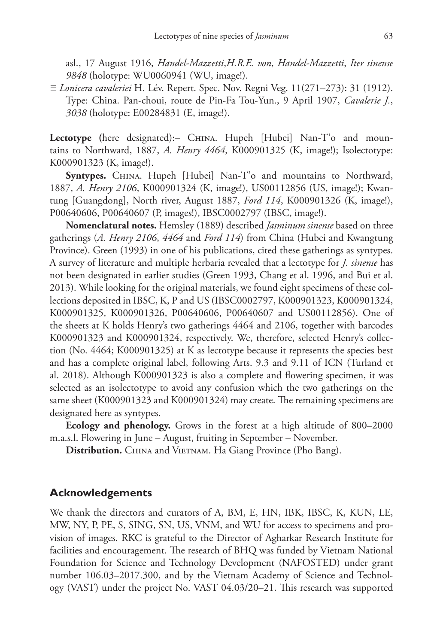asl., 17 August 1916, *Handel-Mazzetti*,*H.R.E. von*, *Handel-Mazzetti*, *Iter sinense 9848* (holotype: WU0060941 (WU, image!).

≡ *Lonicera cavaleriei* H. Lév. Repert. Spec. Nov. Regni Veg. 11(271–273): 31 (1912). Type: China. Pan-choui, route de Pin-Fa Tou-Yun., 9 April 1907, *Cavalerie J.*, *3038* (holotype: E00284831 (E, image!).

**Lectotype (**here designated):– China. Hupeh [Hubei] Nan-T'o and mountains to Northward, 1887, *A. Henry 4464*, K000901325 (K, image!); Isolectotype: K000901323 (K, image!).

Syntypes. CHINA. Hupeh [Hubei] Nan-T'o and mountains to Northward, 1887, *A. Henry 2106*, K000901324 (K, image!), US00112856 (US, image!); Kwantung [Guangdong], North river, August 1887, *Ford 114*, K000901326 (K, image!), P00640606, P00640607 (P, images!), IBSC0002797 (IBSC, image!).

**Nomenclatural notes.** Hemsley (1889) described *Jasminum sinense* based on three gatherings (*A. Henry 2106*, *4464* and *Ford 114*) from China (Hubei and Kwangtung Province). Green (1993) in one of his publications, cited these gatherings as syntypes. A survey of literature and multiple herbaria revealed that a lectotype for *J. sinense* has not been designated in earlier studies (Green 1993, Chang et al. 1996, and Bui et al. 2013). While looking for the original materials, we found eight specimens of these collections deposited in IBSC, K, P and US (IBSC0002797, K000901323, K000901324, K000901325, K000901326, P00640606, P00640607 and US00112856). One of the sheets at K holds Henry's two gatherings 4464 and 2106, together with barcodes K000901323 and K000901324, respectively. We, therefore, selected Henry's collection (No. 4464; K000901325) at K as lectotype because it represents the species best and has a complete original label, following Arts. 9.3 and 9.11 of ICN (Turland et al. 2018). Although K000901323 is also a complete and flowering specimen, it was selected as an isolectotype to avoid any confusion which the two gatherings on the same sheet (K000901323 and K000901324) may create. The remaining specimens are designated here as syntypes.

**Ecology and phenology.** Grows in the forest at a high altitude of 800–2000 m.a.s.l. Flowering in June – August, fruiting in September – November.

Distribution. CHINA and VIETNAM. Ha Giang Province (Pho Bang).

#### **Acknowledgements**

We thank the directors and curators of A, BM, E, HN, IBK, IBSC, K, KUN, LE, MW, NY, P, PE, S, SING, SN, US, VNM, and WU for access to specimens and provision of images. RKC is grateful to the Director of Agharkar Research Institute for facilities and encouragement. The research of BHQ was funded by Vietnam National Foundation for Science and Technology Development (NAFOSTED) under grant number 106.03–2017.300, and by the Vietnam Academy of Science and Technology (VAST) under the project No. VAST 04.03/20–21. This research was supported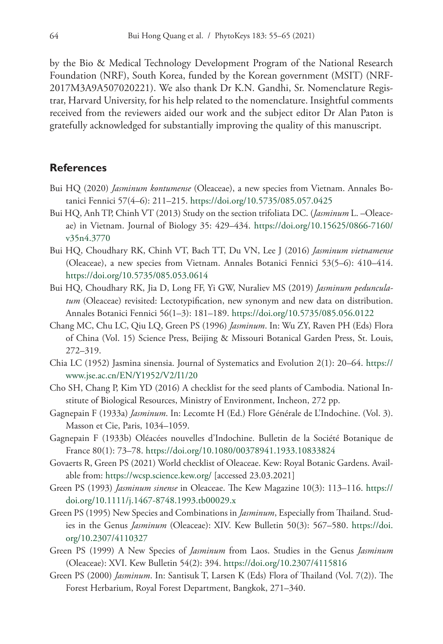by the Bio & Medical Technology Development Program of the National Research Foundation (NRF), South Korea, funded by the Korean government (MSIT) (NRF-2017M3A9A507020221). We also thank Dr K.N. Gandhi, Sr. Nomenclature Registrar, Harvard University, for his help related to the nomenclature. Insightful comments received from the reviewers aided our work and the subject editor Dr Alan Paton is gratefully acknowledged for substantially improving the quality of this manuscript.

#### **References**

- Bui HQ (2020) *Jasminum kontumense* (Oleaceae), a new species from Vietnam. Annales Botanici Fennici 57(4–6): 211–215. <https://doi.org/10.5735/085.057.0425>
- Bui HQ, Anh TP, Chinh VT (2013) Study on the section trifoliata DC. (*Jasminum* L. –Oleaceae) in Vietnam. Journal of Biology 35: 429–434. [https://doi.org/10.15625/0866-7160/](https://doi.org/10.15625/0866-7160/v35n4.3770) [v35n4.3770](https://doi.org/10.15625/0866-7160/v35n4.3770)
- Bui HQ, Choudhary RK, Chinh VT, Bach TT, Du VN, Lee J (2016) *Jasminum vietnamense* (Oleaceae), a new species from Vietnam. Annales Botanici Fennici 53(5–6): 410–414. <https://doi.org/10.5735/085.053.0614>
- Bui HQ, Choudhary RK, Jia D, Long FF, Yi GW, Nuraliev MS (2019) *Jasminum pedunculatum* (Oleaceae) revisited: Lectotypification, new synonym and new data on distribution. Annales Botanici Fennici 56(1–3): 181–189. <https://doi.org/10.5735/085.056.0122>
- Chang MC, Chu LC, Qiu LQ, Green PS (1996) *Jasminum*. In: Wu ZY, Raven PH (Eds) Flora of China (Vol. 15) Science Press, Beijing & Missouri Botanical Garden Press, St. Louis, 272–319.
- Chia LC (1952) Jasmina sinensia. Journal of Systematics and Evolution 2(1): 20–64. [https://](https://www.jse.ac.cn/EN/Y1952/V2/I1/20) [www.jse.ac.cn/EN/Y1952/V2/I1/20](https://www.jse.ac.cn/EN/Y1952/V2/I1/20)
- Cho SH, Chang P, Kim YD (2016) A checklist for the seed plants of Cambodia. National Institute of Biological Resources, Ministry of Environment, Incheon, 272 pp.
- Gagnepain F (1933a) *Jasminum*. In: Lecomte H (Ed.) Flore Générale de L'Indochine. (Vol. 3). Masson et Cie, Paris, 1034–1059.
- Gagnepain F (1933b) Oléacées nouvelles d'Indochine. Bulletin de la Société Botanique de France 80(1): 73–78. <https://doi.org/10.1080/00378941.1933.10833824>
- Govaerts R, Green PS (2021) World checklist of Oleaceae. Kew: Royal Botanic Gardens. Available from:<https://wcsp.science.kew.org/>[accessed 23.03.2021]
- Green PS (1993) *Jasminum sinense* in Oleaceae. The Kew Magazine 10(3): 113–116. [https://](https://doi.org/10.1111/j.1467-8748.1993.tb00029.x) [doi.org/10.1111/j.1467-8748.1993.tb00029.x](https://doi.org/10.1111/j.1467-8748.1993.tb00029.x)
- Green PS (1995) New Species and Combinations in *Jasminum*, Especially from Thailand. Studies in the Genus *Jasminum* (Oleaceae): XIV. Kew Bulletin 50(3): 567–580. [https://doi.](https://doi.org/10.2307/4110327) [org/10.2307/4110327](https://doi.org/10.2307/4110327)
- Green PS (1999) A New Species of *Jasminum* from Laos. Studies in the Genus *Jasminum* (Oleaceae): XVI. Kew Bulletin 54(2): 394.<https://doi.org/10.2307/4115816>
- Green PS (2000) *Jasminum*. In: Santisuk T, Larsen K (Eds) Flora of Thailand (Vol. 7(2)). The Forest Herbarium, Royal Forest Department, Bangkok, 271–340.